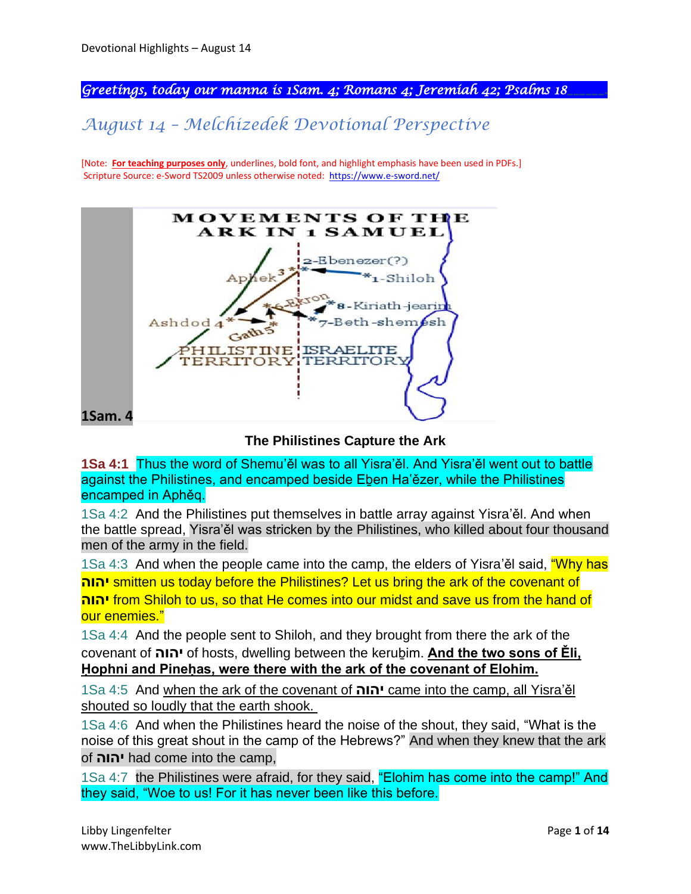*Greetings, today our manna is 1Sam. 4; Romans 4; Jeremiah 42; Psalms 18\_\_\_\_\_\_.* 

# *August 14 – Melchizedek Devotional Perspective*

[Note: **For teaching purposes only**, underlines, bold font, and highlight emphasis have been used in PDFs.] Scripture Source: e-Sword TS2009 unless otherwise noted: <https://www.e-sword.net/>



**The Philistines Capture the Ark**

**1Sa 4:1** Thus the word of Shemu'ěl was to all Yisra'ěl. And Yisra'ěl went out to battle against the Philistines, and encamped beside Eben Ha'ězer, while the Philistines encamped in Aphěq.

1Sa 4:2 And the Philistines put themselves in battle array against Yisra'ěl. And when the battle spread, Yisra'ěl was stricken by the Philistines, who killed about four thousand men of the army in the field.

1Sa 4:3 And when the people came into the camp, the elders of Yisra'el said, "Why has **יהוה** smitten us today before the Philistines? Let us bring the ark of the covenant of **יהוה** from Shiloh to us, so that He comes into our midst and save us from the hand of our enemies."

1Sa 4:4 And the people sent to Shiloh, and they brought from there the ark of the covenant of **יהוה** of hosts, dwelling between the keruḇim. **And the two sons of Ěli, Ḥophni and Pineḥas, were there with the ark of the covenant of Elohim.**

1Sa 4:5 And when the ark of the covenant of **יהוה** came into the camp, all Yisra'ěl shouted so loudly that the earth shook.

1Sa 4:6 And when the Philistines heard the noise of the shout, they said, "What is the noise of this great shout in the camp of the Hebrews?" And when they knew that the ark of **ה יהו** had come into the camp,

1Sa 4:7 the Philistines were afraid, for they said, "Elohim has come into the camp!" And they said, "Woe to us! For it has never been like this before.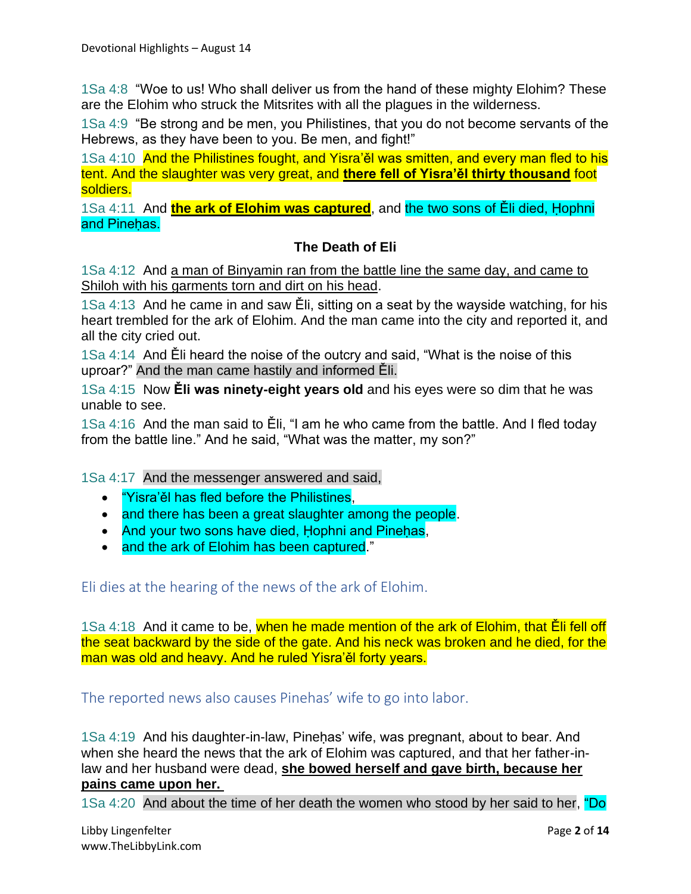1Sa 4:8 "Woe to us! Who shall deliver us from the hand of these mighty Elohim? These are the Elohim who struck the Mitsrites with all the plagues in the wilderness.

1Sa 4:9 "Be strong and be men, you Philistines, that you do not become servants of the Hebrews, as they have been to you. Be men, and fight!"

1Sa 4:10 And the Philistines fought, and Yisra'ěl was smitten, and every man fled to his tent. And the slaughter was very great, and **there fell of Yisra'ěl thirty thousand** foot soldiers.

1Sa 4:11 And **the ark of Elohim was captured**, and the two sons of Ěli died, Ḥophni and Pinehas.

#### **The Death of Eli**

1Sa 4:12 And a man of Binyamin ran from the battle line the same day, and came to Shiloh with his garments torn and dirt on his head.

1Sa 4:13 And he came in and saw Ěli, sitting on a seat by the wayside watching, for his heart trembled for the ark of Elohim. And the man came into the city and reported it, and all the city cried out.

1Sa 4:14 And Ěli heard the noise of the outcry and said, "What is the noise of this uproar?" And the man came hastily and informed Ěli.

1Sa 4:15 Now **Ěli was ninety-eight years old** and his eyes were so dim that he was unable to see.

1Sa 4:16 And the man said to Ěli, "I am he who came from the battle. And I fled today from the battle line." And he said, "What was the matter, my son?"

1Sa 4:17 And the messenger answered and said,

- "Yisra'ěl has fled before the Philistines,
- and there has been a great slaughter among the people.
- And your two sons have died, Hophni and Pinehas,
- and the ark of Elohim has been captured."

Eli dies at the hearing of the news of the ark of Elohim.

1Sa 4:18 And it came to be, when he made mention of the ark of Elohim, that Eli fell off the seat backward by the side of the gate. And his neck was broken and he died, for the man was old and heavy. And he ruled Yisra'ěl forty years.

The reported news also causes Pinehas' wife to go into labor.

1Sa 4:19 And his daughter-in-law, Pineḥas' wife, was pregnant, about to bear. And when she heard the news that the ark of Elohim was captured, and that her father-inlaw and her husband were dead, **she bowed herself and gave birth, because her pains came upon her.**

1Sa 4:20 And about the time of her death the women who stood by her said to her, "Do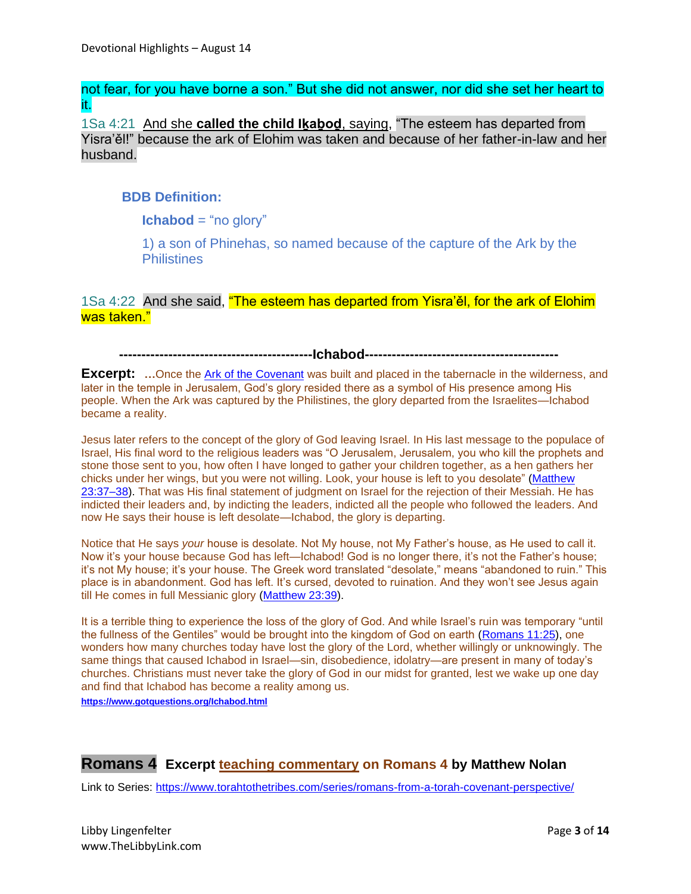not fear, for you have borne a son." But she did not answer, nor did she set her heart to it.

1Sa 4:21 And she **called the child Iḵaḇoḏ**, saying, "The esteem has departed from Yisra'ěl!" because the ark of Elohim was taken and because of her father-in-law and her husband.

#### **BDB Definition:**

**Ichabod** = "no glory"

1) a son of Phinehas, so named because of the capture of the Ark by the **Philistines** 

1Sa 4:22 And she said, "The esteem has departed from Yisra'ěl, for the ark of Elohim was taken."

 **-------------------------------------------Ichabod-------------------------------------------**

**Excerpt:** ... Once the [Ark of the Covenant](https://www.gotquestions.org/ark-of-the-covenant.html) was built and placed in the tabernacle in the wilderness, and later in the temple in Jerusalem, God's glory resided there as a symbol of His presence among His people. When the Ark was captured by the Philistines, the glory departed from the Israelites—Ichabod became a reality.

Jesus later refers to the concept of the glory of God leaving Israel. In His last message to the populace of Israel, His final word to the religious leaders was "O Jerusalem, Jerusalem, you who kill the prophets and stone those sent to you, how often I have longed to gather your children together, as a hen gathers her chicks under her wings, but you were not willing. Look, your house is left to you desolate" [\(Matthew](https://biblia.com/bible/esv/Matt%2023.37%E2%80%9338)  [23:37–38\)](https://biblia.com/bible/esv/Matt%2023.37%E2%80%9338). That was His final statement of judgment on Israel for the rejection of their Messiah. He has indicted their leaders and, by indicting the leaders, indicted all the people who followed the leaders. And now He says their house is left desolate—Ichabod, the glory is departing.

Notice that He says *your* house is desolate. Not My house, not My Father's house, as He used to call it. Now it's your house because God has left—Ichabod! God is no longer there, it's not the Father's house; it's not My house; it's your house. The Greek word translated "desolate," means "abandoned to ruin." This place is in abandonment. God has left. It's cursed, devoted to ruination. And they won't see Jesus again till He comes in full Messianic glory [\(Matthew 23:39\)](https://biblia.com/bible/esv/Matt%2023.39).

It is a terrible thing to experience the loss of the glory of God. And while Israel's ruin was temporary "until the fullness of the Gentiles" would be brought into the kingdom of God on earth [\(Romans 11:25\)](https://biblia.com/bible/esv/Rom%2011.25), one wonders how many churches today have lost the glory of the Lord, whether willingly or unknowingly. The same things that caused Ichabod in Israel—sin, disobedience, idolatry—are present in many of today's churches. Christians must never take the glory of God in our midst for granted, lest we wake up one day and find that Ichabod has become a reality among us.

**<https://www.gotquestions.org/Ichabod.html>**

## **Romans 4 Excerpt teaching commentary on Romans 4 by Matthew Nolan**

Link to Series: <https://www.torahtothetribes.com/series/romans-from-a-torah-covenant-perspective/>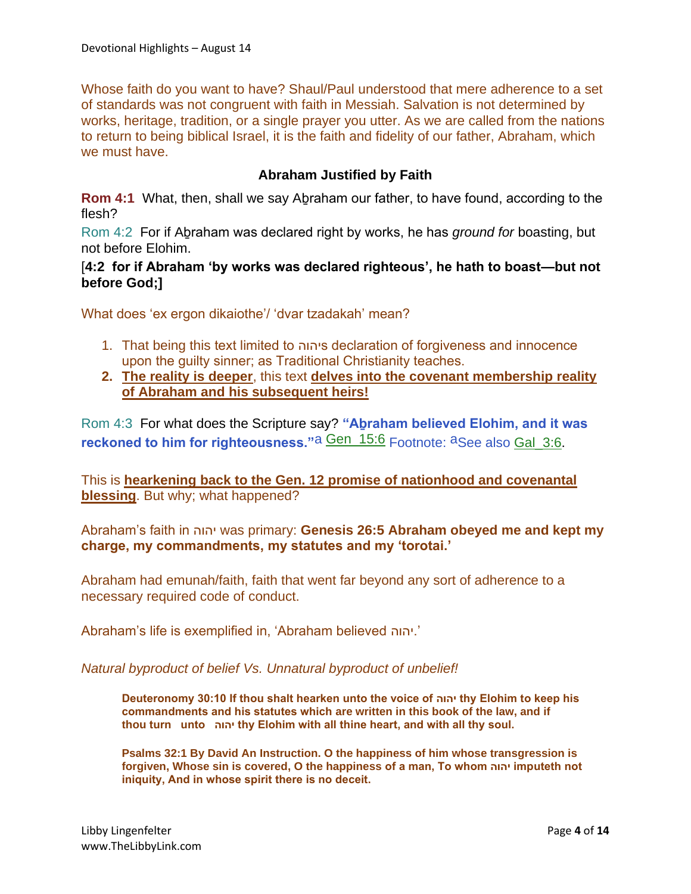Whose faith do you want to have? Shaul/Paul understood that mere adherence to a set of standards was not congruent with faith in Messiah. Salvation is not determined by works, heritage, tradition, or a single prayer you utter. As we are called from the nations to return to being biblical Israel, it is the faith and fidelity of our father, Abraham, which we must have.

#### **Abraham Justified by Faith**

**Rom 4:1** What, then, shall we say Abraham our father, to have found, according to the flesh?

Rom 4:2 For if Aḇraham was declared right by works, he has *ground for* boasting, but not before Elohim.

#### [**4:2 for if Abraham 'by works was declared righteous', he hath to boast—but not before God;]**

What does 'ex ergon dikaiothe'/ 'dvar tzadakah' mean?

- 1. That being this text limited to יהוהs declaration of forgiveness and innocence upon the guilty sinner; as Traditional Christianity teaches.
- **2. The reality is deeper**, this text **delves into the covenant membership reality of Abraham and his subsequent heirs!**

Rom 4:3 For what does the Scripture say? **"Aḇraham believed Elohim, and it was reckoned to him for righteousness.**"a **Gen\_15:6** Footnote: aSee also Gal 3:6.

This is **hearkening back to the Gen. 12 promise of nationhood and covenantal blessing**. But why; what happened?

Abraham's faith in יהוה was primary: **Genesis 26:5 Abraham obeyed me and kept my charge, my commandments, my statutes and my 'torotai.'**

Abraham had emunah/faith, faith that went far beyond any sort of adherence to a necessary required code of conduct.

Abraham's life is exemplified in, 'Abraham believed יהוה.'

*Natural byproduct of belief Vs. Unnatural byproduct of unbelief!*

**Deuteronomy 30:10 If thou shalt hearken unto the voice of יהוה thy Elohim to keep his commandments and his statutes which are written in this book of the law, and if thou turn unto יהוה thy Elohim with all thine heart, and with all thy soul.**

**Psalms 32:1 By David An Instruction. O the happiness of him whose transgression is forgiven, Whose sin is covered, O the happiness of a man, To whom יהוה imputeth not iniquity, And in whose spirit there is no deceit.**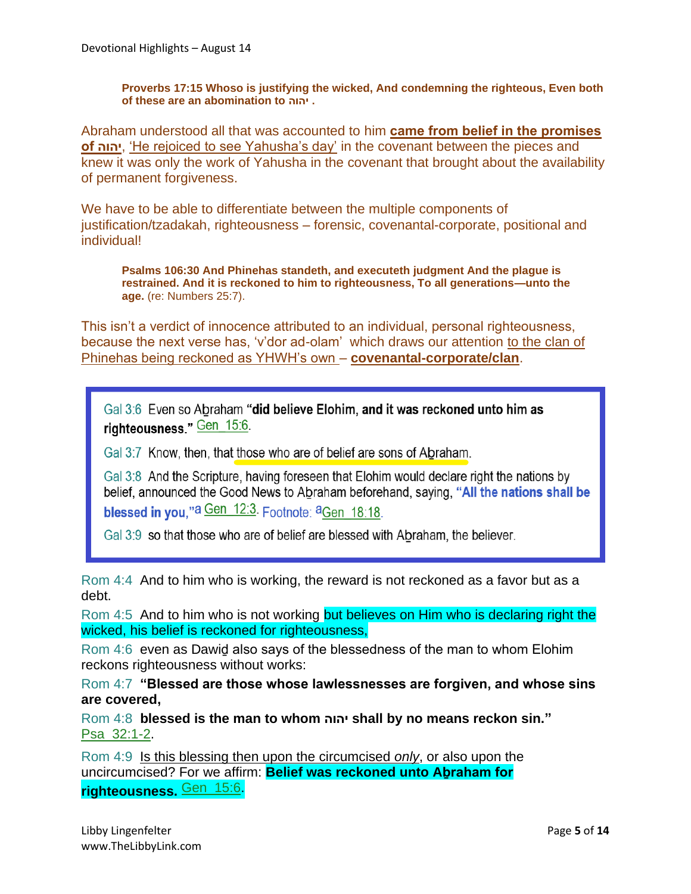**Proverbs 17:15 Whoso is justifying the wicked, And condemning the righteous, Even both of these are an abomination to יהוה .**

Abraham understood all that was accounted to him **came from belief in the promises of יהוה**,' He rejoiced to see Yahusha's day' in the covenant between the pieces and knew it was only the work of Yahusha in the covenant that brought about the availability of permanent forgiveness.

We have to be able to differentiate between the multiple components of justification/tzadakah, righteousness – forensic, covenantal-corporate, positional and individual!

**Psalms 106:30 And Phinehas standeth, and executeth judgment And the plague is restrained. And it is reckoned to him to righteousness, To all generations—unto the age.** (re: Numbers 25:7).

This isn't a verdict of innocence attributed to an individual, personal righteousness, because the next verse has, 'v'dor ad-olam' which draws our attention to the clan of Phinehas being reckoned as YHWH's own – **covenantal-corporate/clan**.

Gal 3:6 Even so Abraham "did believe Elohim, and it was reckoned unto him as righteousness." Gen 15:6.

Gal 3:7 Know, then, that those who are of belief are sons of Abraham.

Gal 3:8 And the Scripture, having foreseen that Elohim would declare right the nations by belief, announced the Good News to Abraham beforehand, saying, "All the nations shall be blessed in you,"a Gen 12:3. Footnote: aGen 18:18.

Gal 3:9 so that those who are of belief are blessed with Abraham, the believer.

Rom 4:4 And to him who is working, the reward is not reckoned as a favor but as a debt.

Rom 4:5 And to him who is not working but believes on Him who is declaring right the wicked, his belief is reckoned for righteousness,

Rom 4:6 even as Dawiḏ also says of the blessedness of the man to whom Elohim reckons righteousness without works:

Rom 4:7 **"Blessed are those whose lawlessnesses are forgiven, and whose sins are covered,**

Rom 4:8 **blessed is the man to whom יהוה shall by no means reckon sin."** Psa\_32:1-2.

Rom 4:9 Is this blessing then upon the circumcised *only*, or also upon the uncircumcised? For we affirm: **Belief was reckoned unto Aḇraham for righteousness.** Gen\_15:6.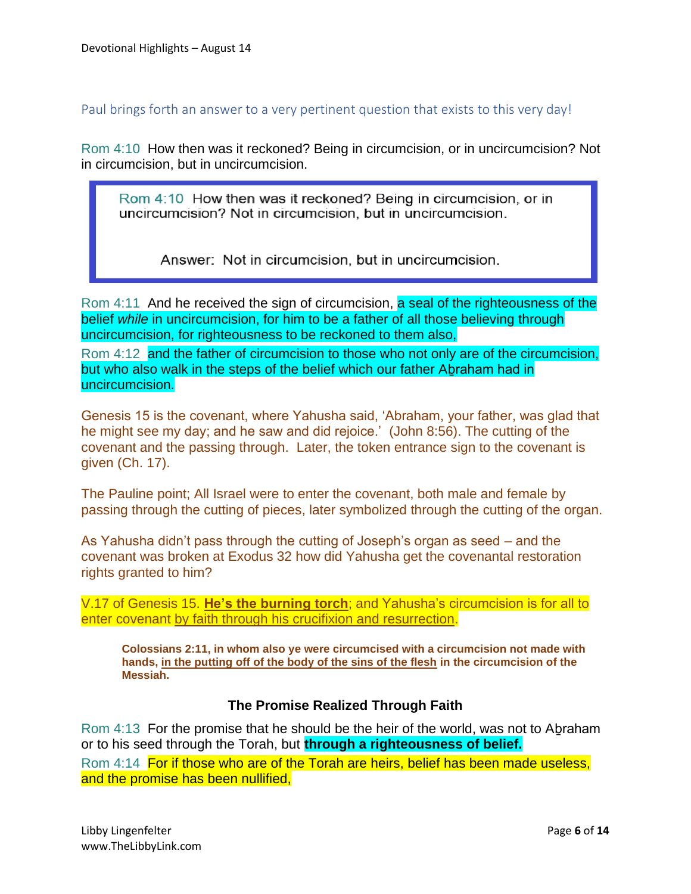Paul brings forth an answer to a very pertinent question that exists to this very day!

Rom 4:10 How then was it reckoned? Being in circumcision, or in uncircumcision? Not in circumcision, but in uncircumcision.

Rom 4:10 How then was it reckoned? Being in circumcision, or in uncircumcision? Not in circumcision, but in uncircumcision.

Answer: Not in circumcision, but in uncircumcision.

Rom 4:11 And he received the sign of circumcision, a seal of the righteousness of the belief *while* in uncircumcision, for him to be a father of all those believing through uncircumcision, for righteousness to be reckoned to them also,

Rom 4:12 and the father of circumcision to those who not only are of the circumcision, but who also walk in the steps of the belief which our father Aḇraham had in uncircumcision.

Genesis 15 is the covenant, where Yahusha said, 'Abraham, your father, was glad that he might see my day; and he saw and did rejoice.' (John 8:56). The cutting of the covenant and the passing through. Later, the token entrance sign to the covenant is given (Ch. 17).

The Pauline point; All Israel were to enter the covenant, both male and female by passing through the cutting of pieces, later symbolized through the cutting of the organ.

As Yahusha didn't pass through the cutting of Joseph's organ as seed – and the covenant was broken at Exodus 32 how did Yahusha get the covenantal restoration rights granted to him?

V.17 of Genesis 15. **He's the burning torch**; and Yahusha's circumcision is for all to enter covenant by faith through his crucifixion and resurrection.

**Colossians 2:11, in whom also ye were circumcised with a circumcision not made with hands, in the putting off of the body of the sins of the flesh in the circumcision of the Messiah.**

## **The Promise Realized Through Faith**

Rom 4:13 For the promise that he should be the heir of the world, was not to Abraham or to his seed through the Torah, but **through a righteousness of belief.**

Rom 4:14 For if those who are of the Torah are heirs, belief has been made useless, and the promise has been nullified,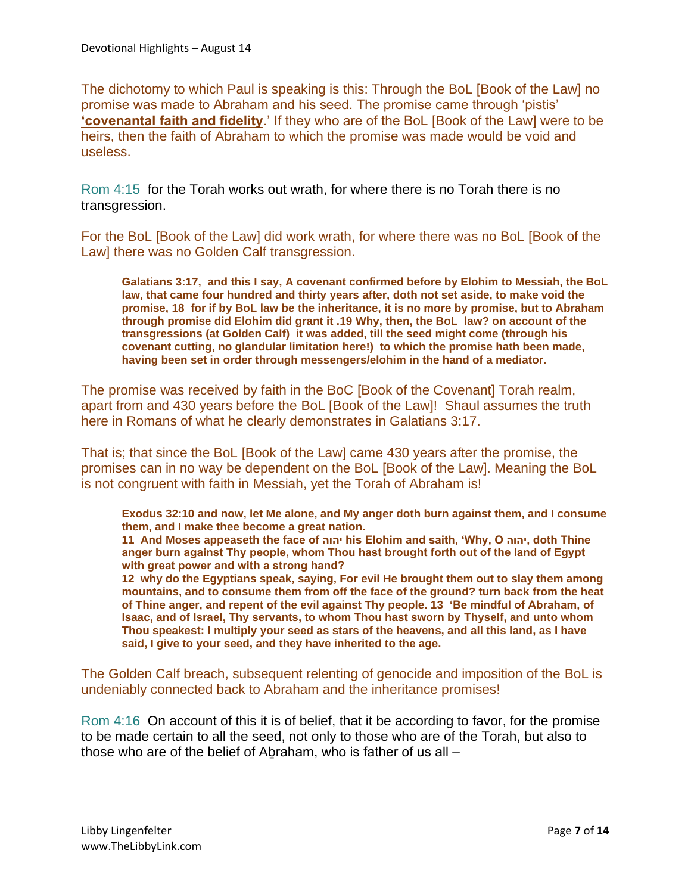The dichotomy to which Paul is speaking is this: Through the BoL [Book of the Law] no promise was made to Abraham and his seed. The promise came through 'pistis' **'covenantal faith and fidelity**.' If they who are of the BoL [Book of the Law] were to be heirs, then the faith of Abraham to which the promise was made would be void and useless.

Rom 4:15 for the Torah works out wrath, for where there is no Torah there is no transgression.

For the BoL [Book of the Law] did work wrath, for where there was no BoL [Book of the Law] there was no Golden Calf transgression.

**Galatians 3:17, and this I say, A covenant confirmed before by Elohim to Messiah, the BoL law, that came four hundred and thirty years after, doth not set aside, to make void the promise, 18 for if by BoL law be the inheritance, it is no more by promise, but to Abraham through promise did Elohim did grant it .19 Why, then, the BoL law? on account of the transgressions (at Golden Calf) it was added, till the seed might come (through his covenant cutting, no glandular limitation here!) to which the promise hath been made, having been set in order through messengers/elohim in the hand of a mediator.**

The promise was received by faith in the BoC [Book of the Covenant] Torah realm, apart from and 430 years before the BoL [Book of the Law]! Shaul assumes the truth here in Romans of what he clearly demonstrates in Galatians 3:17.

That is; that since the BoL [Book of the Law] came 430 years after the promise, the promises can in no way be dependent on the BoL [Book of the Law]. Meaning the BoL is not congruent with faith in Messiah, yet the Torah of Abraham is!

**Exodus 32:10 and now, let Me alone, and My anger doth burn against them, and I consume them, and I make thee become a great nation.**

**11 And Moses appeaseth the face of יהוה his Elohim and saith, 'Why, O יהוה, doth Thine anger burn against Thy people, whom Thou hast brought forth out of the land of Egypt with great power and with a strong hand?**

**12 why do the Egyptians speak, saying, For evil He brought them out to slay them among mountains, and to consume them from off the face of the ground? turn back from the heat of Thine anger, and repent of the evil against Thy people. 13 'Be mindful of Abraham, of Isaac, and of Israel, Thy servants, to whom Thou hast sworn by Thyself, and unto whom Thou speakest: I multiply your seed as stars of the heavens, and all this land, as I have said, I give to your seed, and they have inherited to the age.**

The Golden Calf breach, subsequent relenting of genocide and imposition of the BoL is undeniably connected back to Abraham and the inheritance promises!

Rom 4:16 On account of this it is of belief, that it be according to favor, for the promise to be made certain to all the seed, not only to those who are of the Torah, but also to those who are of the belief of Aḇraham, who is father of us all –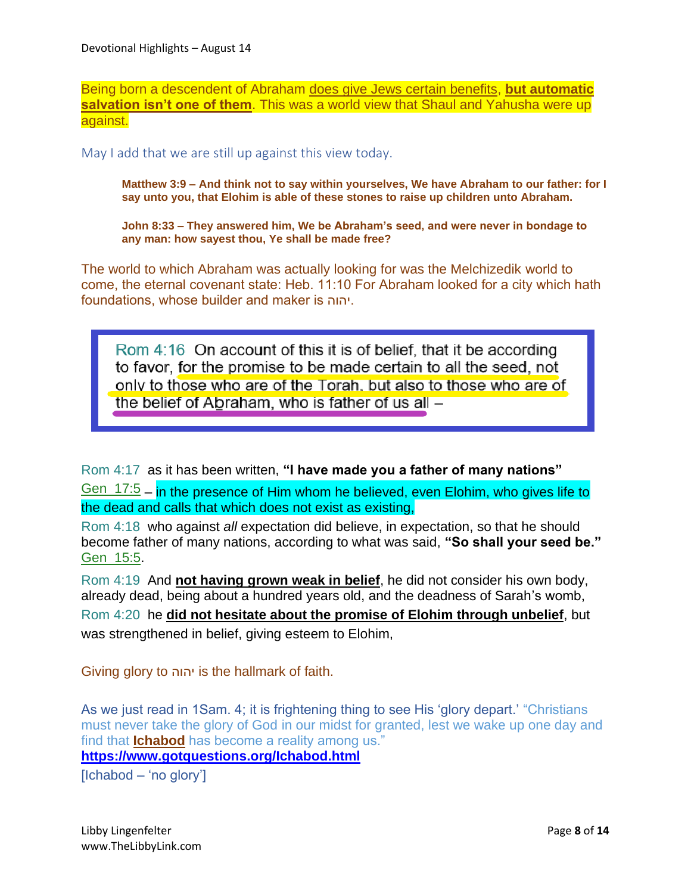Being born a descendent of Abraham does give Jews certain benefits, **but automatic salvation isn't one of them**. This was a world view that Shaul and Yahusha were up against.

May I add that we are still up against this view today.

**Matthew 3:9 – And think not to say within yourselves, We have Abraham to our father: for I say unto you, that Elohim is able of these stones to raise up children unto Abraham.**

**John 8:33 – They answered him, We be Abraham's seed, and were never in bondage to any man: how sayest thou, Ye shall be made free?**

The world to which Abraham was actually looking for was the Melchizedik world to come, the eternal covenant state: Heb. 11:10 For Abraham looked for a city which hath foundations, whose builder and maker is יהוה.

Rom 4:16 On account of this it is of belief, that it be according to favor, for the promise to be made certain to all the seed, not only to those who are of the Torah, but also to those who are of the belief of Abraham, who is father of us all -

Rom 4:17 as it has been written, **"I have made you a father of many nations"**

Gen\_17:5 – in the presence of Him whom he believed, even Elohim, who gives life to the dead and calls that which does not exist as existing,

Rom 4:18 who against *all* expectation did believe, in expectation, so that he should become father of many nations, according to what was said, **"So shall your seed be."** Gen\_15:5.

Rom 4:19 And **not having grown weak in belief**, he did not consider his own body, already dead, being about a hundred years old, and the deadness of Sarah's womb, Rom 4:20 he **did not hesitate about the promise of Elohim through unbelief**, but was strengthened in belief, giving esteem to Elohim,

Giving glory to יהוה is the hallmark of faith.

As we just read in 1Sam. 4; it is frightening thing to see His 'glory depart.' "Christians must never take the glory of God in our midst for granted, lest we wake up one day and find that **Ichabod** has become a reality among us."

**<https://www.gotquestions.org/Ichabod.html>**

[Ichabod – 'no glory']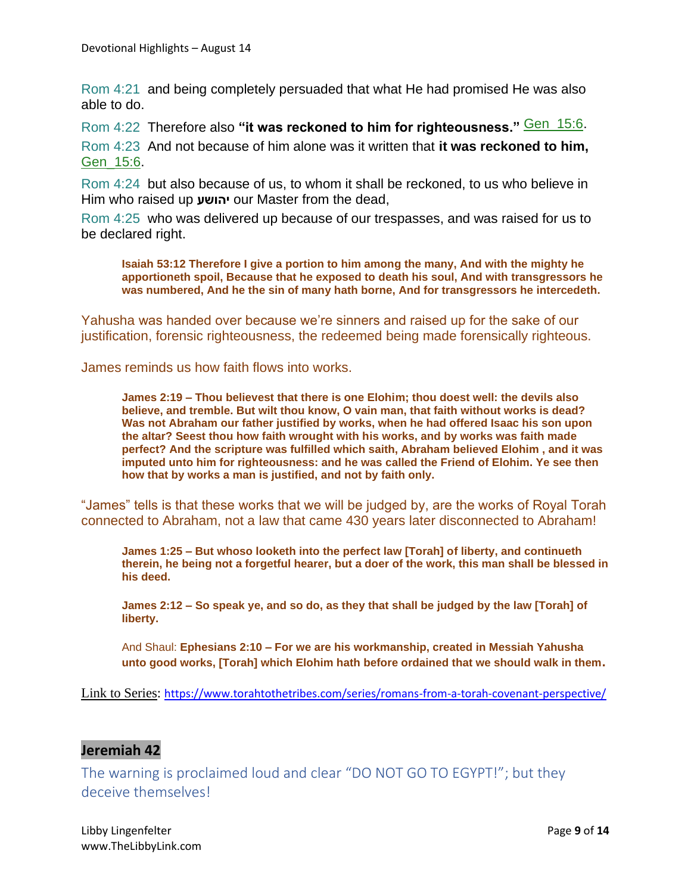Rom 4:21 and being completely persuaded that what He had promised He was also able to do.

Rom 4:22 Therefore also "it was reckoned to him for righteousness." **Gen\_15:6**. Rom 4:23 And not because of him alone was it written that **it was reckoned to him,** Gen\_15:6.

Rom 4:24 but also because of us, to whom it shall be reckoned, to us who believe in Him who raised up **יהושע** our Master from the dead,

Rom 4:25 who was delivered up because of our trespasses, and was raised for us to be declared right.

**Isaiah 53:12 Therefore I give a portion to him among the many, And with the mighty he apportioneth spoil, Because that he exposed to death his soul, And with transgressors he was numbered, And he the sin of many hath borne, And for transgressors he intercedeth.**

Yahusha was handed over because we're sinners and raised up for the sake of our justification, forensic righteousness, the redeemed being made forensically righteous.

James reminds us how faith flows into works.

**James 2:19 – Thou believest that there is one Elohim; thou doest well: the devils also believe, and tremble. But wilt thou know, O vain man, that faith without works is dead? Was not Abraham our father justified by works, when he had offered Isaac his son upon the altar? Seest thou how faith wrought with his works, and by works was faith made perfect? And the scripture was fulfilled which saith, Abraham believed Elohim , and it was imputed unto him for righteousness: and he was called the Friend of Elohim. Ye see then how that by works a man is justified, and not by faith only.**

"James" tells is that these works that we will be judged by, are the works of Royal Torah connected to Abraham, not a law that came 430 years later disconnected to Abraham!

**James 1:25 – But whoso looketh into the perfect law [Torah] of liberty, and continueth therein, he being not a forgetful hearer, but a doer of the work, this man shall be blessed in his deed.**

**James 2:12 – So speak ye, and so do, as they that shall be judged by the law [Torah] of liberty.**

And Shaul: **Ephesians 2:10 – For we are his workmanship, created in Messiah Yahusha unto good works, [Torah] which Elohim hath before ordained that we should walk in them.**

Link to Series: <https://www.torahtothetribes.com/series/romans-from-a-torah-covenant-perspective/>

#### **Jeremiah 42**

The warning is proclaimed loud and clear "DO NOT GO TO EGYPT!"; but they deceive themselves!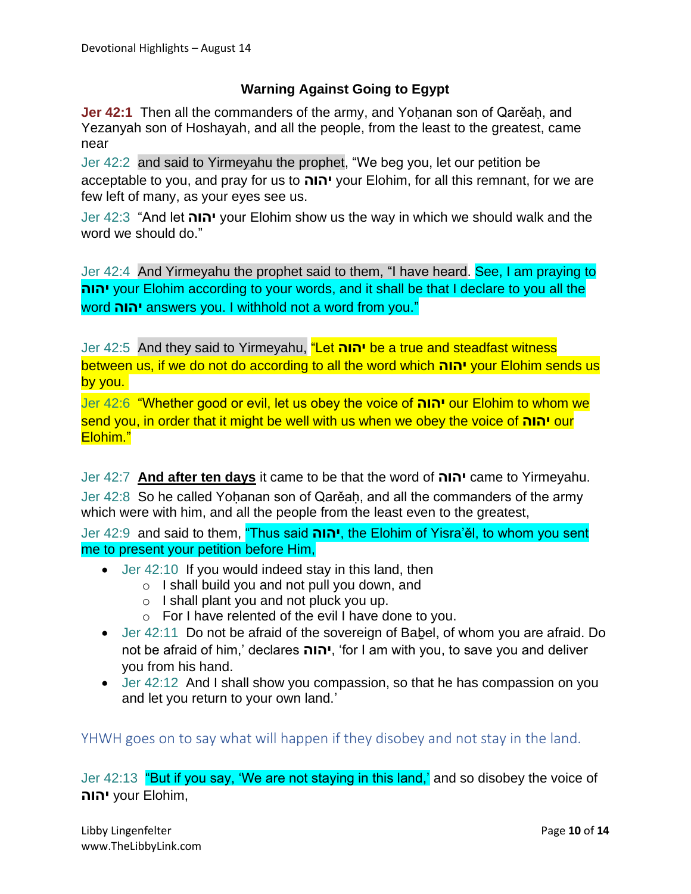#### **Warning Against Going to Egypt**

**Jer 42:1** Then all the commanders of the army, and Yohanan son of Qarěah, and Yezanyah son of Hoshayah, and all the people, from the least to the greatest, came near

Jer 42:2 and said to Yirmeyahu the prophet, "We beg you, let our petition be acceptable to you, and pray for us to **יהוה** your Elohim, for all this remnant, for we are few left of many, as your eyes see us.

Jer 42:3 "And let **יהוה** your Elohim show us the way in which we should walk and the word we should do."

Jer 42:4 And Yirmeyahu the prophet said to them, "I have heard. See, I am praying to **יהוה** your Elohim according to your words, and it shall be that I declare to you all the word **יהוה** answers you. I withhold not a word from you."

Jer 42:5 And they said to Yirmeyahu, "Let **יהוה** be a true and steadfast witness between us, if we do not do according to all the word which **יהוה** your Elohim sends us by you.

Jer 42:6 "Whether good or evil, let us obey the voice of **יהוה** our Elohim to whom we send you, in order that it might be well with us when we obey the voice of **יהוה** our Elohim."

Jer 42:7 **And after ten days** it came to be that the word of **יהוה** came to Yirmeyahu. Jer 42:8 So he called Yohanan son of Qarěah, and all the commanders of the army which were with him, and all the people from the least even to the greatest,

Jer 42:9 and said to them, "Thus said **יהוה**, the Elohim of Yisra'ěl, to whom you sent me to present your petition before Him,

- Jer 42:10 If you would indeed stay in this land, then
	- o I shall build you and not pull you down, and
	- $\circ$  I shall plant you and not pluck you up.
	- o For I have relented of the evil I have done to you.
- Jer 42:11 Do not be afraid of the sovereign of Babel, of whom you are afraid. Do not be afraid of him,' declares **יהוה**,' for I am with you, to save you and deliver you from his hand.
- Jer 42:12 And I shall show you compassion, so that he has compassion on you and let you return to your own land.'

YHWH goes on to say what will happen if they disobey and not stay in the land.

Jer 42:13 "But if you say, 'We are not staying in this land,' and so disobey the voice of **יהוה** your Elohim,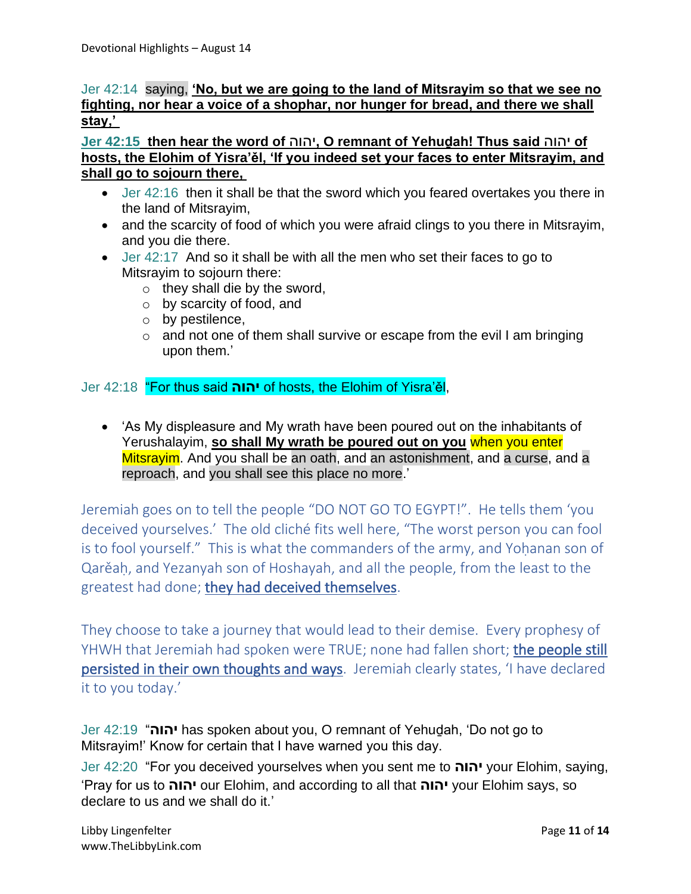#### Jer 42:14 saying, **'No, but we are going to the land of Mitsrayim so that we see no fighting, nor hear a voice of a shophar, nor hunger for bread, and there we shall stay,'**

**Jer 42:15 then hear the word of** יהוה**, O remnant of Yehuḏah! Thus said** יהוה **of hosts, the Elohim of Yisra'ěl, 'If you indeed set your faces to enter Mitsrayim, and shall go to sojourn there,**

- Jer 42:16 then it shall be that the sword which you feared overtakes you there in the land of Mitsrayim,
- and the scarcity of food of which you were afraid clings to you there in Mitsrayim, and you die there.
- Jer 42:17 And so it shall be with all the men who set their faces to go to Mitsrayim to sojourn there:
	- $\circ$  they shall die by the sword,
	- o by scarcity of food, and
	- o by pestilence,
	- $\circ$  and not one of them shall survive or escape from the evil I am bringing upon them.'

Jer 42:18 "For thus said **יהוה** of hosts, the Elohim of Yisra'ěl,

• 'As My displeasure and My wrath have been poured out on the inhabitants of Yerushalayim, **so shall My wrath be poured out on you** when you enter Mitsrayim. And you shall be an oath, and an astonishment, and a curse, and a reproach, and you shall see this place no more.'

Jeremiah goes on to tell the people "DO NOT GO TO EGYPT!". He tells them 'you deceived yourselves.' The old cliché fits well here, "The worst person you can fool is to fool yourself." This is what the commanders of the army, and Yohanan son of Qarěaḥ, and Yezanyah son of Hoshayah, and all the people, from the least to the greatest had done; they had deceived themselves.

They choose to take a journey that would lead to their demise. Every prophesy of YHWH that Jeremiah had spoken were TRUE; none had fallen short; the people still persisted in their own thoughts and ways. Jeremiah clearly states, 'I have declared it to you today.'

Jer 42:19 "**יהוה** has spoken about you, O remnant of Yehuḏah, 'Do not go to Mitsrayim!' Know for certain that I have warned you this day.

Jer 42:20 "For you deceived yourselves when you sent me to **יהוה** your Elohim, saying, 'Pray for us to **יהוה** our Elohim, and according to all that **יהוה** your Elohim says, so declare to us and we shall do it.'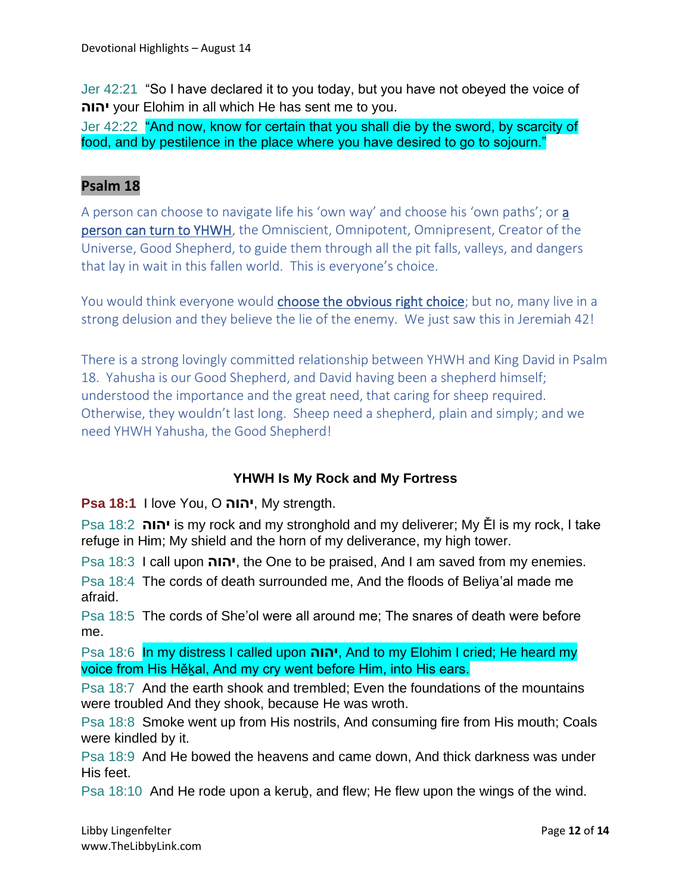Jer 42:21 "So I have declared it to you today, but you have not obeyed the voice of **יהוה** your Elohim in all which He has sent me to you.

Jer 42:22 "And now, know for certain that you shall die by the sword, by scarcity of food, and by pestilence in the place where you have desired to go to sojourn."

## **Psalm 18**

A person can choose to navigate life his 'own way' and choose his 'own paths'; or a person can turn to YHWH, the Omniscient, Omnipotent, Omnipresent, Creator of the Universe, Good Shepherd, to guide them through all the pit falls, valleys, and dangers that lay in wait in this fallen world. This is everyone's choice.

You would think everyone would choose the obvious right choice; but no, many live in a strong delusion and they believe the lie of the enemy. We just saw this in Jeremiah 42!

There is a strong lovingly committed relationship between YHWH and King David in Psalm 18. Yahusha is our Good Shepherd, and David having been a shepherd himself; understood the importance and the great need, that caring for sheep required. Otherwise, they wouldn't last long. Sheep need a shepherd, plain and simply; and we need YHWH Yahusha, the Good Shepherd!

## **YHWH Is My Rock and My Fortress**

**Psa 18:1** I love You, O **יהוה**, My strength.

Psa 18:2 **יהוה** is my rock and my stronghold and my deliverer; My Ěl is my rock, I take refuge in Him; My shield and the horn of my deliverance, my high tower.

Psa 18:3 I call upon **יהוה**, the One to be praised, And I am saved from my enemies.

Psa 18:4 The cords of death surrounded me, And the floods of Beliya'al made me afraid.

Psa 18:5 The cords of She'ol were all around me; The snares of death were before me.

Psa 18:6 In my distress I called upon **יהוה**, And to my Elohim I cried; He heard my voice from His Hěḵal, And my cry went before Him, into His ears.

Psa 18:7 And the earth shook and trembled; Even the foundations of the mountains were troubled And they shook, because He was wroth.

Psa 18:8 Smoke went up from His nostrils, And consuming fire from His mouth; Coals were kindled by it.

Psa 18:9 And He bowed the heavens and came down, And thick darkness was under His feet.

Psa 18:10 And He rode upon a keruḇ, and flew; He flew upon the wings of the wind.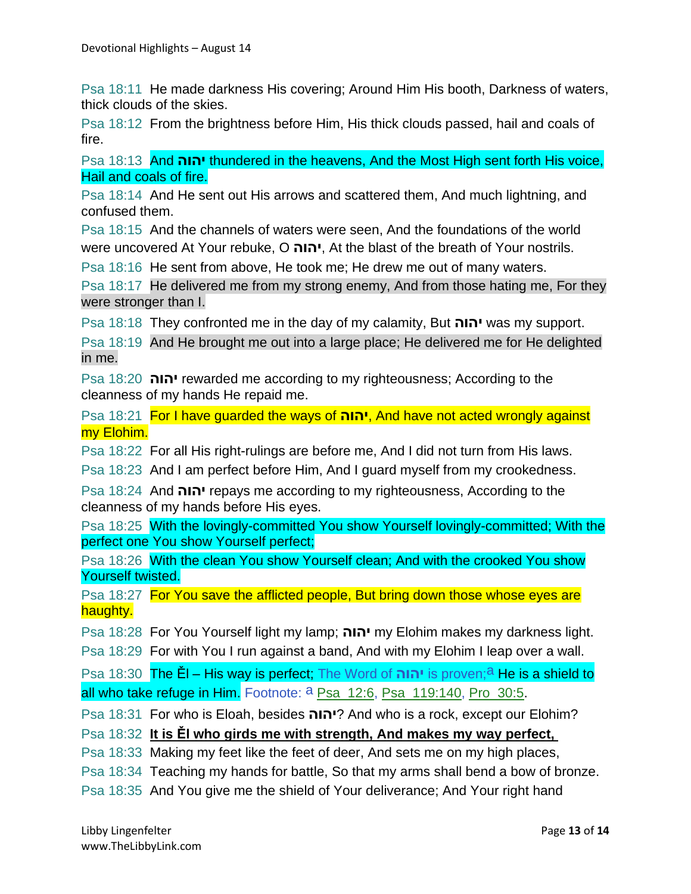Psa 18:11 He made darkness His covering; Around Him His booth, Darkness of waters, thick clouds of the skies.

Psa 18:12 From the brightness before Him, His thick clouds passed, hail and coals of fire.

Psa 18:13 And **יהוה** thundered in the heavens, And the Most High sent forth His voice, Hail and coals of fire.

Psa 18:14 And He sent out His arrows and scattered them, And much lightning, and confused them.

Psa 18:15 And the channels of waters were seen, And the foundations of the world were uncovered At Your rebuke, O **יהוה**, At the blast of the breath of Your nostrils.

Psa 18:16 He sent from above, He took me; He drew me out of many waters.

Psa 18:17 He delivered me from my strong enemy, And from those hating me, For they were stronger than I.

Psa 18:18 They confronted me in the day of my calamity, But **יהוה** was my support.

Psa 18:19 And He brought me out into a large place; He delivered me for He delighted in me.

Psa 18:20 **יהוה** rewarded me according to my righteousness; According to the cleanness of my hands He repaid me.

Psa 18:21 For I have guarded the ways of **יהוה**, And have not acted wrongly against my Elohim.

Psa 18:22 For all His right-rulings are before me, And I did not turn from His laws.

Psa 18:23 And I am perfect before Him, And I guard myself from my crookedness.

Psa 18:24 And **יהוה** repays me according to my righteousness, According to the cleanness of my hands before His eyes.

Psa 18:25 With the lovingly-committed You show Yourself lovingly-committed; With the perfect one You show Yourself perfect;

Psa 18:26 With the clean You show Yourself clean; And with the crooked You show Yourself twisted.

Psa 18:27 For You save the afflicted people, But bring down those whose eyes are haughty.

Psa 18:28 For You Yourself light my lamp; **יהוה** my Elohim makes my darkness light.

Psa 18:29 For with You I run against a band, And with my Elohim I leap over a wall.

Psa 18:30 The Ěl – His way is perfect; The Word of **יהוה** is proven;a He is a shield to all who take refuge in Him. Footnote: <sup>a</sup> Psa\_12:6, Psa\_119:140, Pro\_30:5.

Psa 18:31 For who is Eloah, besides **יהוה** ?And who is a rock, except our Elohim?

Psa 18:32 **It is Ěl who girds me with strength, And makes my way perfect,**

Psa 18:33 Making my feet like the feet of deer, And sets me on my high places,

Psa 18:34 Teaching my hands for battle, So that my arms shall bend a bow of bronze.

Psa 18:35 And You give me the shield of Your deliverance; And Your right hand